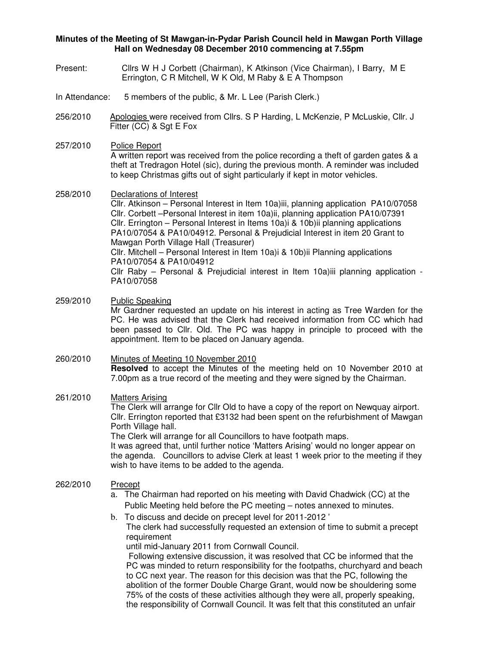## **Minutes of the Meeting of St Mawgan-in-Pydar Parish Council held in Mawgan Porth Village Hall on Wednesday 08 December 2010 commencing at 7.55pm**

- Present: Cllrs W H J Corbett (Chairman), K Atkinson (Vice Chairman), I Barry, M E Errington, C R Mitchell, W K Old, M Raby & E A Thompson
- In Attendance: 5 members of the public, & Mr. L Lee (Parish Clerk.)
- 256/2010 Apologies were received from Cllrs. S P Harding, L McKenzie, P McLuskie, Cllr. J Fitter (CC) & Sgt E Fox
- 257/2010 Police Report A written report was received from the police recording a theft of garden gates & a theft at Tredragon Hotel (sic), during the previous month. A reminder was included to keep Christmas gifts out of sight particularly if kept in motor vehicles.
- 258/2010 Declarations of Interest Cllr. Atkinson – Personal Interest in Item 10a)iii, planning application PA10/07058 Cllr. Corbett –Personal Interest in item 10a)ii, planning application PA10/07391 Cllr. Errington – Personal Interest in Items 10a)i & 10b)ii planning applications PA10/07054 & PA10/04912. Personal & Prejudicial Interest in item 20 Grant to Mawgan Porth Village Hall (Treasurer) Cllr. Mitchell – Personal Interest in Item 10a)i & 10b)ii Planning applications PA10/07054 & PA10/04912 Cllr Raby – Personal & Prejudicial interest in Item 10a)iii planning application - PA10/07058
- 259/2010 Public Speaking Mr Gardner requested an update on his interest in acting as Tree Warden for the PC. He was advised that the Clerk had received information from CC which had been passed to Cllr. Old. The PC was happy in principle to proceed with the appointment. Item to be placed on January agenda.

### 260/2010 Minutes of Meeting 10 November 2010 **Resolved** to accept the Minutes of the meeting held on 10 November 2010 at 7.00pm as a true record of the meeting and they were signed by the Chairman.

## 261/2010 Matters Arising

The Clerk will arrange for Cllr Old to have a copy of the report on Newquay airport. Cllr. Errington reported that £3132 had been spent on the refurbishment of Mawgan Porth Village hall.

The Clerk will arrange for all Councillors to have footpath maps.

It was agreed that, until further notice 'Matters Arising' would no longer appear on the agenda. Councillors to advise Clerk at least 1 week prior to the meeting if they wish to have items to be added to the agenda.

#### 262/2010 Precept

- a. The Chairman had reported on his meeting with David Chadwick (CC) at the Public Meeting held before the PC meeting – notes annexed to minutes.
- b. To discuss and decide on precept level for 2011-2012 ' The clerk had successfully requested an extension of time to submit a precept requirement

until mid-January 2011 from Cornwall Council.

 Following extensive discussion, it was resolved that CC be informed that the PC was minded to return responsibility for the footpaths, churchyard and beach to CC next year. The reason for this decision was that the PC, following the abolition of the former Double Charge Grant, would now be shouldering some 75% of the costs of these activities although they were all, properly speaking, the responsibility of Cornwall Council. It was felt that this constituted an unfair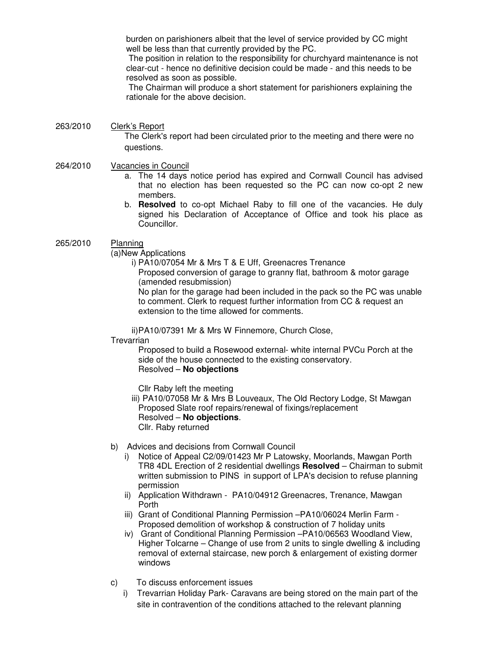burden on parishioners albeit that the level of service provided by CC might well be less than that currently provided by the PC.

 The position in relation to the responsibility for churchyard maintenance is not clear-cut - hence no definitive decision could be made - and this needs to be resolved as soon as possible.

 The Chairman will produce a short statement for parishioners explaining the rationale for the above decision.

263/2010 Clerk's Report The Clerk's report had been circulated prior to the meeting and there were no questions.

## 264/2010 Vacancies in Council

- a. The 14 days notice period has expired and Cornwall Council has advised that no election has been requested so the PC can now co-opt 2 new members.
- b. **Resolved** to co-opt Michael Raby to fill one of the vacancies. He duly signed his Declaration of Acceptance of Office and took his place as Councillor.

## 265/2010 Planning

(a)New Applications

i) PA10/07054 Mr & Mrs T & E Uff, Greenacres Trenance

Proposed conversion of garage to granny flat, bathroom & motor garage (amended resubmission)

No plan for the garage had been included in the pack so the PC was unable to comment. Clerk to request further information from CC & request an extension to the time allowed for comments.

ii) PA10/07391 Mr & Mrs W Finnemore, Church Close,

#### **Trevarrian**

Proposed to build a Rosewood external- white internal PVCu Porch at the side of the house connected to the existing conservatory. Resolved – **No objections** 

Cllr Raby left the meeting

iii) PA10/07058 Mr & Mrs B Louveaux, The Old Rectory Lodge, St Mawgan Proposed Slate roof repairs/renewal of fixings/replacement Resolved – **No objections**. Cllr. Raby returned

- b) Advices and decisions from Cornwall Council
	- i) Notice of Appeal C2/09/01423 Mr P Latowsky, Moorlands, Mawgan Porth TR8 4DL Erection of 2 residential dwellings **Resolved** – Chairman to submit written submission to PINS in support of LPA's decision to refuse planning permission
	- ii) Application Withdrawn PA10/04912 Greenacres, Trenance, Mawgan Porth
	- iii) Grant of Conditional Planning Permission –PA10/06024 Merlin Farm Proposed demolition of workshop & construction of 7 holiday units
	- iv) Grant of Conditional Planning Permission –PA10/06563 Woodland View, Higher Tolcarne – Change of use from 2 units to single dwelling & including removal of external staircase, new porch & enlargement of existing dormer windows
- c) To discuss enforcement issues
	- i) Trevarrian Holiday Park- Caravans are being stored on the main part of the site in contravention of the conditions attached to the relevant planning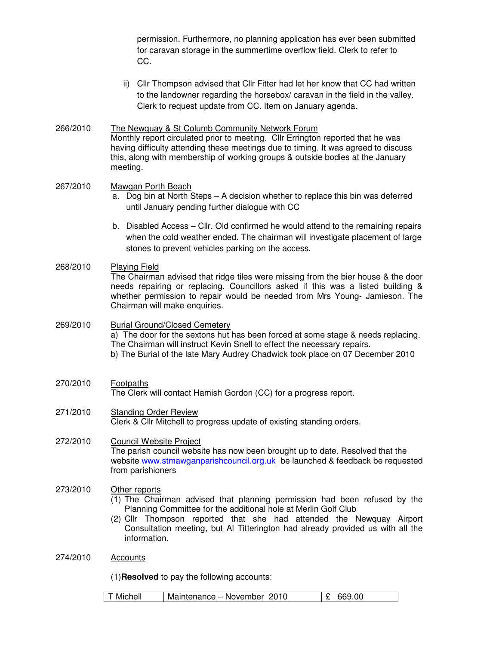permission. Furthermore, no planning application has ever been submitted for caravan storage in the summertime overflow field. Clerk to refer to CC.

- ii) Cllr Thompson advised that Cllr Fitter had let her know that CC had written to the landowner regarding the horsebox/ caravan in the field in the valley. Clerk to request update from CC. Item on January agenda.
- 266/2010 The Newquay & St Columb Community Network Forum Monthly report circulated prior to meeting. Cllr Errington reported that he was having difficulty attending these meetings due to timing. It was agreed to discuss this, along with membership of working groups & outside bodies at the January meeting.
- 267/2010 Mawgan Porth Beach
	- a. Dog bin at North Steps A decision whether to replace this bin was deferred until January pending further dialogue with CC
	- b. Disabled Access Cllr. Old confirmed he would attend to the remaining repairs when the cold weather ended. The chairman will investigate placement of large stones to prevent vehicles parking on the access.
- 268/2010 Playing Field The Chairman advised that ridge tiles were missing from the bier house & the door needs repairing or replacing. Councillors asked if this was a listed building & whether permission to repair would be needed from Mrs Young- Jamieson. The Chairman will make enquiries.

#### 269/2010 Burial Ground/Closed Cemetery a) The door for the sextons hut has been forced at some stage & needs replacing. The Chairman will instruct Kevin Snell to effect the necessary repairs. b) The Burial of the late Mary Audrey Chadwick took place on 07 December 2010

- 270/2010 Footpaths The Clerk will contact Hamish Gordon (CC) for a progress report.
- 271/2010 Standing Order Review Clerk & Cllr Mitchell to progress update of existing standing orders.

## 272/2010 Council Website Project The parish council website has now been brought up to date. Resolved that the website www.stmawganparishcouncil.org.uk be launched & feedback be requested from parishioners

## 273/2010 Other reports

- (1) The Chairman advised that planning permission had been refused by the Planning Committee for the additional hole at Merlin Golf Club
- (2) Cllr Thompson reported that she had attended the Newquay Airport Consultation meeting, but Al Titterington had already provided us with all the information.

## 274/2010 Accounts

(1)**Resolved** to pay the following accounts:

| T Michell<br> £ 669.00<br>Maintenance – November 2010 |
|-------------------------------------------------------|
|-------------------------------------------------------|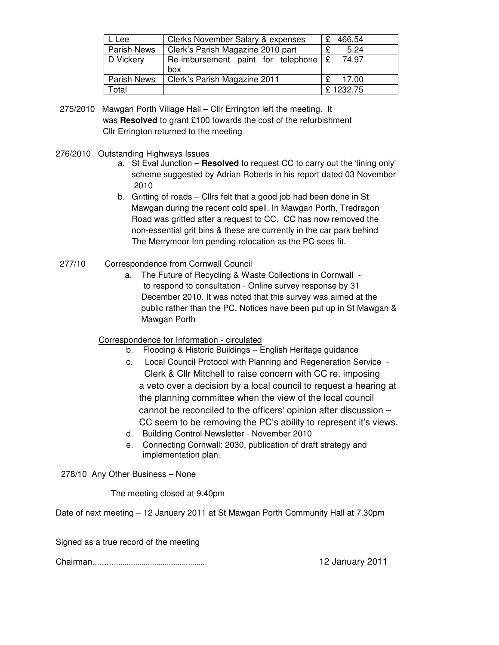| . Lee              | Clerks November Salary & expenses  |       | 466.54   |  |
|--------------------|------------------------------------|-------|----------|--|
| <b>Parish News</b> | Clerk's Parish Magazine 2010 part  |       | 5.24     |  |
| D Vickery          | Re-imbursement paint for telephone | ၂ မျာ | 74.97    |  |
|                    | box                                |       |          |  |
| <b>Parish News</b> | Clerk's Parish Magazine 2011       |       | 17.00    |  |
| otal <sup>-</sup>  |                                    |       | £1232.75 |  |

- 275/2010 Mawgan Porth Village Hall Cllr Errington left the meeting. It was **Resolved** to grant £100 towards the cost of the refurbishment Cllr Errington returned to the meeting
- 276/2010 Outstanding Highways Issues
	- a. St Eval Junction **Resolved** to request CC to carry out the 'lining only' scheme suggested by Adrian Roberts in his report dated 03 November 2010
	- b. Gritting of roads Cllrs felt that a good job had been done in St Mawgan during the recent cold spell. In Mawgan Porth, Tredragon Road was gritted after a request to CC. CC has now removed the non-essential grit bins & these are currently in the car park behind The Merrymoor Inn pending relocation as the PC sees fit.
- 277/10 Correspondence from Cornwall Council
	- a. The Future of Recycling & Waste Collections in Cornwall to respond to consultation - Online survey response by 31 December 2010. It was noted that this survey was aimed at the public rather than the PC. Notices have been put up in St Mawgan & Mawgan Porth

## Correspondence for Information - circulated

- b. Flooding & Historic Buildings English Heritage guidance
- c. Local Council Protocol with Planning and Regeneration Service Clerk & Cllr Mitchell to raise concern with CC re. imposing a veto over a decision by a local council to request a hearing at the planning committee when the view of the local council cannot be reconciled to the officers' opinion after discussion – CC seem to be removing the PC's ability to represent it's views.
- d. Building Control Newsletter November 2010
- e. Connecting Cornwall: 2030, publication of draft strategy and implementation plan.

278/10 Any Other Business – None

The meeting closed at 9.40pm

Date of next meeting – 12 January 2011 at St Mawgan Porth Community Hall at 7.30pm

Signed as a true record of the meeting

Chairman..................................................... 12 January 2011